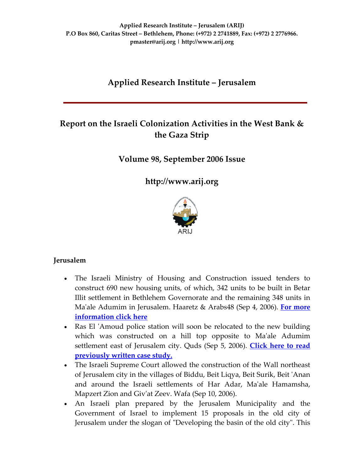# **Applied Research Institute – Jerusalem**

# **Report on the Israeli Colonization Activities in the West Bank & the Gaza Strip**

# **Volume 98, September 2006 Issue**

**[http://www.arij.org](http://www.arij.org/)**



# **Jerusalem**

- The Israeli Ministry of Housing and Construction issued tenders to construct 690 new housing units, of which, 342 units to be built in Betar Illit settlement in Bethlehem Governorate and the remaining 348 units in Maʹale Adumim in Jerusalem. Haaretz & Arabs48 (Sep 4, 2006). **For [more](http://www.poica.org/editor/case_studies/view.php?recordID=894) [information](http://www.poica.org/editor/case_studies/view.php?recordID=894) click here**
- Ras El 'Amoud police station will soon be relocated to the new building which was constructed on a hill top opposite to Ma'ale Adumim settlement east of Jerusalem city. Quds (Sep 5, 2006). **[Click](http://www.poica.org/editor/case_studies/view.php?recordID=856) here to read [previously](http://www.poica.org/editor/case_studies/view.php?recordID=856) written case study.**
- The Israeli Supreme Court allowed the construction of the Wall northeast of Jerusalem city in the villages of Biddu, Beit Liqya, Beit Surik, Beit ʹAnan and around the Israeli settlements of Har Adar, Maʹale Hamamsha, Mapzert Zion and Givʹat Zeev. Wafa (Sep 10, 2006).
- An Israeli plan prepared by the Jerusalem Municipality and the Government of Israel to implement 15 proposals in the old city of Jerusalem under the slogan of "Developing the basin of the old city". This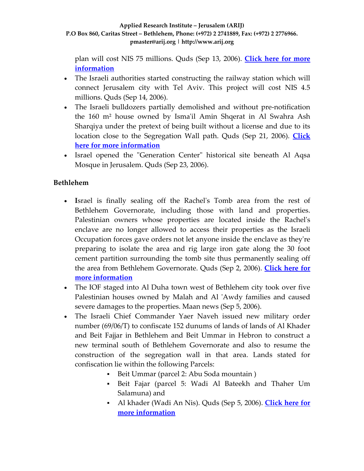plan will cost NIS 75 millions. Quds (Sep 13, 2006). **[Click](http://www.poica.org/editor/case_studies/view.php?recordID=873) here for more [information](http://www.poica.org/editor/case_studies/view.php?recordID=873)**

- The Israeli authorities started constructing the railway station which will connect Jerusalem city with Tel Aviv. This project will cost NIS 4.5 millions. Quds (Sep 14, 2006).
- The Israeli bulldozers partially demolished and without pre-notification the 160 m² house owned by Ismaʹil Amin Shqerat in Al Swahra Ash Sharqiya under the pretext of being built without a license and due to its location close to the Segregation Wall path. Quds (Sep 21, 2006). **[Click](http://www.poica.org/editor/case_studies/view.php?recordID=907) here for more [information](http://www.poica.org/editor/case_studies/view.php?recordID=907)**
- Israel opened the "Generation Center" historical site beneath Al Aqsa Mosque in Jerusalem. Quds (Sep 23, 2006).

# **Bethlehem**

- **I**srael is finally sealing off the Rachelʹs Tomb area from the rest of Bethlehem Governorate, including those with land and properties. Palestinian owners whose properties are located inside the Rachel's enclave are no longer allowed to access their properties as the Israeli Occupation forces gave orders not let anyone inside the enclave as theyʹre preparing to isolate the area and rig large iron gate along the 30 foot cement partition surrounding the tomb site thus permanently sealing off the area from Bethlehem Governorate. Quds (Sep 2, 2006). **[Click](http://www.poica.org/editor/case_studies/view.php?recordID=896) here for more [information](http://www.poica.org/editor/case_studies/view.php?recordID=896)**
- The IOF staged into Al Duha town west of Bethlehem city took over five Palestinian houses owned by Malah and Al 'Awdy families and caused severe damages to the properties. Maan news (Sep 5, 2006).
- The Israeli Chief Commander Yaer Naveh issued new military order number (69/06/T) to confiscate 152 dunums of lands of lands of Al Khader and Beit Fajjar in Bethlehem and Beit Ummar in Hebron to construct a new terminal south of Bethlehem Governorate and also to resume the construction of the segregation wall in that area. Lands stated for confiscation lie within the following Parcels:
	- Beit Ummar (parcel 2: Abu Soda mountain )
	- Beit Fajar (parcel 5: Wadi Al Bateekh and Thaher Um Salamuna) and
	- Al khader (Wadi An Nis). Quds (Sep 5, 2006). **[Click](http://www.poica.org/editor/case_studies/view.php?recordID=910) here for more [information](http://www.poica.org/editor/case_studies/view.php?recordID=910)**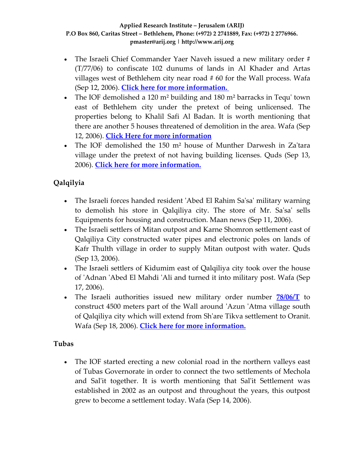- The Israeli Chief Commander Yaer Naveh issued a new military order # (T/77/06) to confiscate 102 dunums of lands in Al Khader and Artas villages west of Bethlehem city near road # 60 for the Wall process. Wafa (Sep 12, 2006). **Click here for more [information.](http://www.poica.org/editor/case_studies/view.php?recordID=909)**
- The IOF demolished a 120 m<sup>2</sup> building and 180 m<sup>2</sup> barracks in Tequ' town east of Bethlehem city under the pretext of being unlicensed. The properties belong to Khalil Safi Al Badan. It is worth mentioning that there are another 5 houses threatened of demolition in the area. Wafa (Sep 12, 2006). **Click Here for more [information](http://www.poica.org/editor/case_studies/view.php?recordID=911)**
- The IOF demolished the 150 m<sup>2</sup> house of Munther Darwesh in Za'tara village under the pretext of not having building licenses. Quds (Sep 13, 2006). **Click here for more [information.](http://www.poica.org/editor/case_studies/view.php?recordID=901)**

# **Qalqilyia**

- The Israeli forces handed resident 'Abed El Rahim Sa'sa' military warning to demolish his store in Qalqiliya city. The store of Mr. Sa'sa' sells Equipments for housing and construction. Maan news (Sep 11, 2006).
- The Israeli settlers of Mitan outpost and Karne Shomron settlement east of Qalqiliya City constructed water pipes and electronic poles on lands of Kafr Thulth village in order to supply Mitan outpost with water. Quds (Sep 13, 2006).
- The Israeli settlers of Kidumim east of Qalqiliya city took over the house of ʹAdnan ʹAbed El Mahdi ʹAli and turned it into military post. Wafa (Sep 17, 2006).
- The Israeli authorities issued new military order number **[78/06/T](http://orders.arij.org/scanned/MO_2006_09_26_32889071.jpg)** to construct 4500 meters part of the Wall around ʹAzun ʹAtma village south of Qalqiliya city which will extend from Shʹare Tikva settlement to Oranit. Wafa (Sep 18, 2006). **Click here for more [information.](http://www.poica.org/editor/case_studies/view.php?recordID=915)**

# **Tubas**

• The IOF started erecting a new colonial road in the northern valleys east of Tubas Governorate in order to connect the two settlements of Mechola and Sal'it together. It is worth mentioning that Sal'it Settlement was established in 2002 as an outpost and throughout the years, this outpost grew to become a settlement today. Wafa (Sep 14, 2006).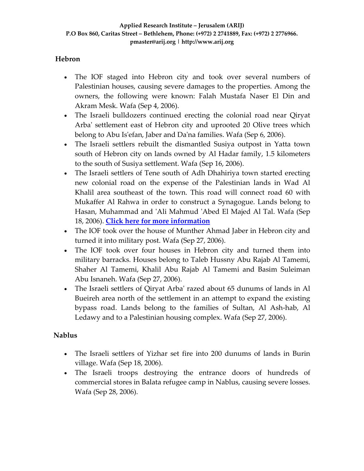# **Hebron**

- The IOF staged into Hebron city and took over several numbers of Palestinian houses, causing severe damages to the properties. Among the owners, the following were known: Falah Mustafa Naser El Din and Akram Mesk. Wafa (Sep 4, 2006).
- The Israeli bulldozers continued erecting the colonial road near Qiryat Arba' settlement east of Hebron city and uprooted 20 Olive trees which belong to Abu Isʹefan, Jaber and Daʹna families. Wafa (Sep 6, 2006).
- The Israeli settlers rebuilt the dismantled Susiya outpost in Yatta town south of Hebron city on lands owned by Al Hadar family, 1.5 kilometers to the south of Susiya settlement. Wafa (Sep 16, 2006).
- The Israeli settlers of Tene south of Adh Dhahiriya town started erecting new colonial road on the expense of the Palestinian lands in Wad Al Khalil area southeast of the town. This road will connect road 60 with Mukaffer Al Rahwa in order to construct a Synagogue. Lands belong to Hasan, Muhammad and ʹAli Mahmud ʹAbed El Majed Al Tal. Wafa (Sep 18, 2006). **Click here for more [information](http://www.poica.org/editor/case_studies/view.php?recordID=912)**
- The IOF took over the house of Munther Ahmad Jaber in Hebron city and turned it into military post. Wafa (Sep 27, 2006).
- The IOF took over four houses in Hebron city and turned them into military barracks. Houses belong to Taleb Hussny Abu Rajab Al Tamemi, Shaher Al Tamemi, Khalil Abu Rajab Al Tamemi and Basim Suleiman Abu Isnaneh. Wafa (Sep 27, 2006).
- The Israeli settlers of Qiryat Arba' razed about 65 dunums of lands in Al Bueireh area north of the settlement in an attempt to expand the existing bypass road. Lands belong to the families of Sultan, Al Ash‐hab, Al Ledawy and to a Palestinian housing complex. Wafa (Sep 27, 2006).

# **Nablus**

- The Israeli settlers of Yizhar set fire into 200 dunums of lands in Burin village. Wafa (Sep 18, 2006).
- The Israeli troops destroying the entrance doors of hundreds of commercial stores in Balata refugee camp in Nablus, causing severe losses. Wafa (Sep 28, 2006).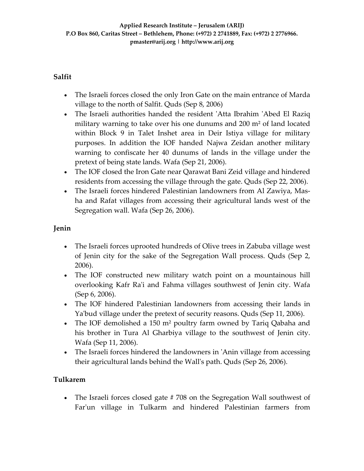### **Salfit**

- The Israeli forces closed the only Iron Gate on the main entrance of Marda village to the north of Salfit. Quds (Sep 8, 2006)
- The Israeli authorities handed the resident 'Atta Ibrahim 'Abed El Raziq military warning to take over his one dunums and 200 m² of land located within Block 9 in Talet Inshet area in Deir Istiya village for military purposes. In addition the IOF handed Najwa Zeidan another military warning to confiscate her 40 dunums of lands in the village under the pretext of being state lands. Wafa (Sep 21, 2006).
- The IOF closed the Iron Gate near Qarawat Bani Zeid village and hindered residents from accessing the village through the gate. Quds (Sep 22, 2006).
- The Israeli forces hindered Palestinian landowners from Al Zawiya, Masha and Rafat villages from accessing their agricultural lands west of the Segregation wall. Wafa (Sep 26, 2006).

# **Jenin**

- The Israeli forces uprooted hundreds of Olive trees in Zabuba village west of Jenin city for the sake of the Segregation Wall process. Quds (Sep 2, 2006).
- The IOF constructed new military watch point on a mountainous hill overlooking Kafr Raʹi and Fahma villages southwest of Jenin city. Wafa (Sep 6, 2006).
- The IOF hindered Palestinian landowners from accessing their lands in Ya'bud village under the pretext of security reasons. Quds (Sep 11, 2006).
- The IOF demolished a 150 m<sup>2</sup> poultry farm owned by Tariq Qabaha and his brother in Tura Al Gharbiya village to the southwest of Jenin city. Wafa (Sep 11, 2006).
- The Israeli forces hindered the landowners in 'Anin village from accessing their agricultural lands behind the Wallʹs path. Quds (Sep 26, 2006).

# **Tulkarem**

• The Israeli forces closed gate #708 on the Segregation Wall southwest of Far'un village in Tulkarm and hindered Palestinian farmers from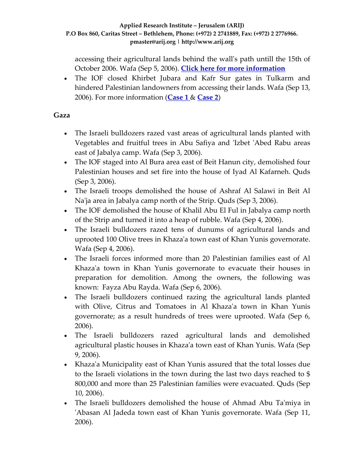accessing their agricultural lands behind the wallʹs path untill the 15th of October 2006. Wafa (Sep 5, 2006). **Click here for more [information](http://www.poica.org/editor/case_studies/view.php?recordID=905)**

• The IOF closed Khirbet Jubara and Kafr Sur gates in Tulkarm and hindered Palestinian landowners from accessing their lands. Wafa (Sep 13, 2006). For more information (**[Case](http://www.poica.org/editor/case_studies/view.php?recordID=865) 1** & **[Case](http://www.poica.org/editor/case_studies/view.php?recordID=693) 2**)

# **Gaza**

- The Israeli bulldozers razed vast areas of agricultural lands planted with Vegetables and fruitful trees in Abu Safiya and ʹIzbet ʹAbed Rabu areas east of Jabalya camp. Wafa (Sep 3, 2006).
- The IOF staged into Al Bura area east of Beit Hanun city, demolished four Palestinian houses and set fire into the house of Iyad Al Kafarneh. Quds (Sep 3, 2006).
- The Israeli troops demolished the house of Ashraf Al Salawi in Beit Al Na'ja area in Jabalya camp north of the Strip. Quds (Sep 3, 2006).
- The IOF demolished the house of Khalil Abu El Ful in Jabalya camp north of the Strip and turned it into a heap of rubble. Wafa (Sep 4, 2006).
- The Israeli bulldozers razed tens of dunums of agricultural lands and uprooted 100 Olive trees in Khazaʹa town east of Khan Yunis governorate. Wafa (Sep 4, 2006).
- The Israeli forces informed more than 20 Palestinian families east of Al Khaza'a town in Khan Yunis governorate to evacuate their houses in preparation for demolition. Among the owners, the following was known: Fayza Abu Rayda. Wafa (Sep 6, 2006).
- The Israeli bulldozers continued razing the agricultural lands planted with Olive, Citrus and Tomatoes in Al Khaza'a town in Khan Yunis governorate; as a result hundreds of trees were uprooted. Wafa (Sep 6, 2006).
- The Israeli bulldozers razed agricultural lands and demolished agricultural plastic houses in Khazaʹa town east of Khan Yunis. Wafa (Sep 9, 2006).
- Khaza'a Municipality east of Khan Yunis assured that the total losses due to the Israeli violations in the town during the last two days reached to \$ 800,000 and more than 25 Palestinian families were evacuated. Quds (Sep 10, 2006).
- The Israeli bulldozers demolished the house of Ahmad Abu Ta'miya in ʹAbasan Al Jadeda town east of Khan Yunis governorate. Wafa (Sep 11, 2006).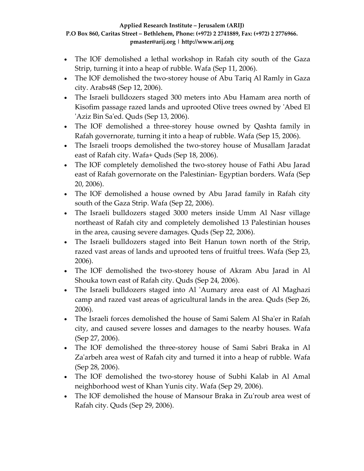- The IOF demolished a lethal workshop in Rafah city south of the Gaza Strip, turning it into a heap of rubble. Wafa (Sep 11, 2006).
- The IOF demolished the two-storey house of Abu Tariq Al Ramly in Gaza city. Arabs48 (Sep 12, 2006).
- The Israeli bulldozers staged 300 meters into Abu Hamam area north of Kisofim passage razed lands and uprooted Olive trees owned by ʹAbed El ʹAziz Bin Saʹed. Quds (Sep 13, 2006).
- The IOF demolished a three-storey house owned by Qashta family in Rafah governorate, turning it into a heap of rubble. Wafa (Sep 15, 2006).
- The Israeli troops demolished the two-storey house of Musallam Jaradat east of Rafah city. Wafa+ Quds (Sep 18, 2006).
- The IOF completely demolished the two-storey house of Fathi Abu Jarad east of Rafah governorate on the Palestinian‐ Egyptian borders. Wafa (Sep 20, 2006).
- The IOF demolished a house owned by Abu Jarad family in Rafah city south of the Gaza Strip. Wafa (Sep 22, 2006).
- The Israeli bulldozers staged 3000 meters inside Umm Al Nasr village northeast of Rafah city and completely demolished 13 Palestinian houses in the area, causing severe damages. Quds (Sep 22, 2006).
- The Israeli bulldozers staged into Beit Hanun town north of the Strip, razed vast areas of lands and uprooted tens of fruitful trees. Wafa (Sep 23, 2006).
- The IOF demolished the two-storey house of Akram Abu Jarad in Al Shouka town east of Rafah city. Quds (Sep 24, 2006).
- The Israeli bulldozers staged into Al 'Aumary area east of Al Maghazi camp and razed vast areas of agricultural lands in the area. Quds (Sep 26, 2006).
- The Israeli forces demolished the house of Sami Salem Al Sha'er in Rafah city, and caused severe losses and damages to the nearby houses. Wafa (Sep 27, 2006).
- The IOF demolished the three‐storey house of Sami Sabri Braka in Al Za'arbeh area west of Rafah city and turned it into a heap of rubble. Wafa (Sep 28, 2006).
- The IOF demolished the two-storey house of Subhi Kalab in Al Amal neighborhood west of Khan Yunis city. Wafa (Sep 29, 2006).
- The IOF demolished the house of Mansour Braka in Zu'roub area west of Rafah city. Quds (Sep 29, 2006).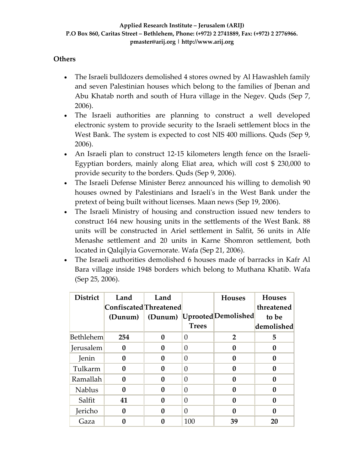### **Others**

- The Israeli bulldozers demolished 4 stores owned by Al Hawashleh family and seven Palestinian houses which belong to the families of Jbenan and Abu Khatab north and south of Hura village in the Negev. Quds (Sep 7, 2006).
- The Israeli authorities are planning to construct a well developed electronic system to provide security to the Israeli settlement blocs in the West Bank. The system is expected to cost NIS 400 millions. Quds (Sep 9, 2006).
- An Israeli plan to construct 12-15 kilometers length fence on the Israeli-Egyptian borders, mainly along Eliat area, which will cost \$ 230,000 to provide security to the borders. Quds (Sep 9, 2006).
- The Israeli Defense Minister Berez announced his willing to demolish 90 houses owned by Palestinians and Israeliʹs in the West Bank under the pretext of being built without licenses. Maan news (Sep 19, 2006).
- The Israeli Ministry of housing and construction issued new tenders to construct 164 new housing units in the settlements of the West Bank. 88 units will be constructed in Ariel settlement in Salfit, 56 units in Alfe Menashe settlement and 20 units in Karne Shomron settlement, both located in Qalqilyia Governorate. Wafa (Sep 21, 2006).
- The Israeli authorities demolished 6 houses made of barracks in Kafr Al Bara village inside 1948 borders which belong to Muthana Khatib. Wafa (Sep 25, 2006).

| <b>District</b>  | Land<br>Confiscated Threatened<br>(Dunum) | Land<br>(Dunum) | <b>Trees</b> | <b>Houses</b><br>Uprooted Demolished | <b>Houses</b><br>threatened<br>to be<br>demolished |
|------------------|-------------------------------------------|-----------------|--------------|--------------------------------------|----------------------------------------------------|
| <b>Bethlehem</b> | 254                                       | 0               | $\Omega$     | $\overline{2}$                       | 5                                                  |
| Jerusalem        | 0                                         | 0               | $\Omega$     | 0                                    | 0                                                  |
| Jenin            | 0                                         | 0               | $\Omega$     | 0                                    | 0                                                  |
| Tulkarm          | 0                                         | 0               | $\Omega$     | 0                                    | 0                                                  |
| Ramallah         | 0                                         | 0               | $\Omega$     | 0                                    | 0                                                  |
| <b>Nablus</b>    | 0                                         | 0               | $\Omega$     | 0                                    | 0                                                  |
| Salfit           | 41                                        | 0               | $\Omega$     | 0                                    | 0                                                  |
| Jericho          | 0                                         | 0               | $\Omega$     | O                                    | 0                                                  |
| Gaza             | N                                         |                 | 100          | 39                                   | 20                                                 |